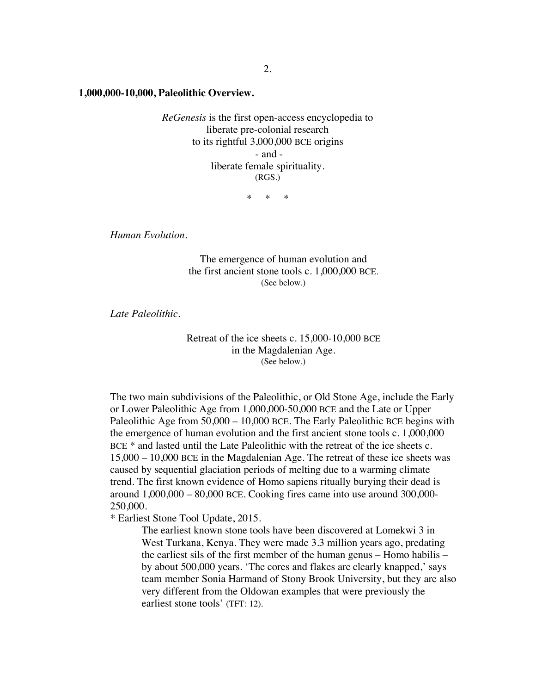**1,000,000-10,000, Paleolithic Overview.**

*ReGenesis* is the first open-access encyclopedia to liberate pre-colonial research to its rightful 3,000,000 BCE origins - and liberate female spirituality. (RGS.)

 $\ddot{x}$   $\ddot{x}$ 

*Human Evolution.*

The emergence of human evolution and the first ancient stone tools c. 1,000,000 BCE. (See below.)

*Late Paleolithic.* 

Retreat of the ice sheets c. 15,000-10,000 BCE in the Magdalenian Age. (See below.)

The two main subdivisions of the Paleolithic, or Old Stone Age, include the Early or Lower Paleolithic Age from 1,000,000-50,000 BCE and the Late or Upper Paleolithic Age from 50,000 – 10,000 BCE. The Early Paleolithic BCE begins with the emergence of human evolution and the first ancient stone tools c. 1,000,000 BCE  $*$  and lasted until the Late Paleolithic with the retreat of the ice sheets c. 15,000 – 10,000 BCE in the Magdalenian Age. The retreat of these ice sheets was caused by sequential glaciation periods of melting due to a warming climate trend. The first known evidence of Homo sapiens ritually burying their dead is around 1,000,000 – 80,000 BCE. Cooking fires came into use around 300,000- 250,000.

\* Earliest Stone Tool Update, 2015.

The earliest known stone tools have been discovered at Lomekwi 3 in West Turkana, Kenya. They were made 3.3 million years ago, predating the earliest sils of the first member of the human genus – Homo habilis – by about 500,000 years. 'The cores and flakes are clearly knapped,' says team member Sonia Harmand of Stony Brook University, but they are also very different from the Oldowan examples that were previously the earliest stone tools' (TFT: 12).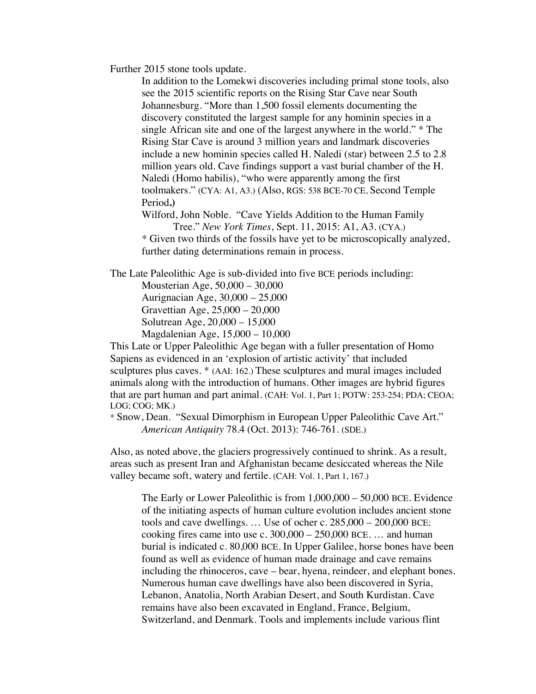Further 2015 stone tools update.

In addition to the Lomekwi discoveries including primal stone tools, also see the 2015 scientific reports on the Rising Star Cave near South Johannesburg. "More than 1,500 fossil elements documenting the discovery constituted the largest sample for any hominin species in a single African site and one of the largest anywhere in the world." \* The Rising Star Cave is around 3 million years and landmark discoveries include a new hominin species called H. Naledi (star) between 2.5 to 2.8 million years old. Cave findings support a vast burial chamber of the H. Naledi (Homo habilis), "who were apparently among the first toolmakers." (CYA: A1, A3.) (Also, RGS: 538 BCE-70 CE, Second Temple Period**.)**

Wilford, John Noble. "Cave Yields Addition to the Human Family Tree." *New York Times*, Sept. 11, 2015: A1, A3. (CYA.)

*\** Given two thirds of the fossils have yet to be microscopically analyzed, further dating determinations remain in process.

The Late Paleolithic Age is sub-divided into five BCE periods including:

Mousterian Age, 50,000 – 30,000 Aurignacian Age, 30,000 – 25,000 Gravettian Age, 25,000 – 20,000 Solutrean Age, 20,000 – 15,000 Magdalenian Age, 15,000 – 10,000

This Late or Upper Paleolithic Age began with a fuller presentation of Homo Sapiens as evidenced in an 'explosion of artistic activity' that included sculptures plus caves. \* (AAI: 162.) These sculptures and mural images included animals along with the introduction of humans. Other images are hybrid figures that are part human and part animal. (CAH: Vol. 1, Part 1; POTW: 253-254; PDA; CEOA; LOG; COG; MK.)

\* Snow, Dean. "Sexual Dimorphism in European Upper Paleolithic Cave Art." *American Antiquity* 78.4 (Oct. 2013): 746-761. (SDE.)

Also, as noted above, the glaciers progressively continued to shrink. As a result, areas such as present Iran and Afghanistan became desiccated whereas the Nile valley became soft, watery and fertile. (CAH: Vol. 1, Part 1, 167.)

The Early or Lower Paleolithic is from 1,000,000 – 50,000 BCE. Evidence of the initiating aspects of human culture evolution includes ancient stone tools and cave dwellings. … Use of ocher c. 285,000 – 200,000 BCE; cooking fires came into use c.  $300,000 - 250,000$  BCE... and human burial is indicated c. 80,000 BCE. In Upper Galilee, horse bones have been found as well as evidence of human made drainage and cave remains including the rhinoceros, cave – bear, hyena, reindeer, and elephant bones. Numerous human cave dwellings have also been discovered in Syria, Lebanon, Anatolia, North Arabian Desert, and South Kurdistan. Cave remains have also been excavated in England, France, Belgium, Switzerland, and Denmark. Tools and implements include various flint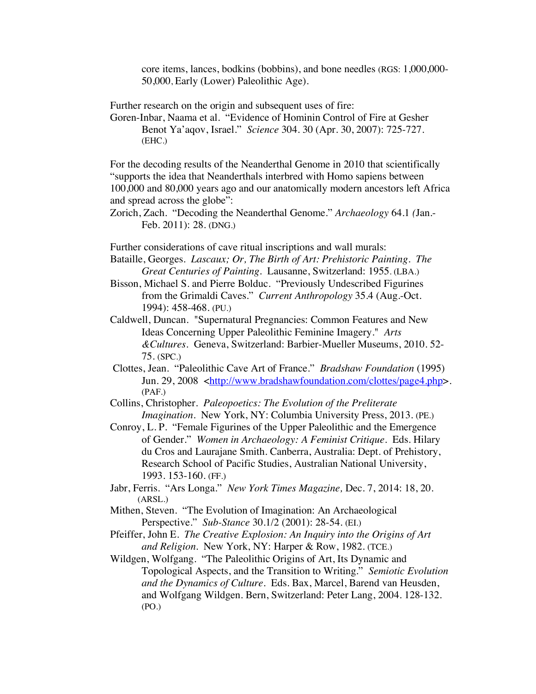core items, lances, bodkins (bobbins), and bone needles (RGS: 1,000,000- 50,000, Early (Lower) Paleolithic Age).

Further research on the origin and subsequent uses of fire:

Goren-Inbar, Naama et al. "Evidence of Hominin Control of Fire at Gesher Benot Ya'aqov, Israel." *Science* 304. 30 (Apr. 30, 2007): 725-727. (EHC.)

For the decoding results of the Neanderthal Genome in 2010 that scientifically "supports the idea that Neanderthals interbred with Homo sapiens between 100,000 and 80,000 years ago and our anatomically modern ancestors left Africa and spread across the globe":

Zorich, Zach. "Decoding the Neanderthal Genome." *Archaeology* 64.1 *(*Jan.- Feb. 2011): 28. (DNG.)

Further considerations of cave ritual inscriptions and wall murals:

- Bataille, Georges. *Lascaux; Or, The Birth of Art: Prehistoric Painting. The Great Centuries of Painting.* Lausanne, Switzerland: 1955. (LBA.)
- Bisson, Michael S. and Pierre Bolduc. "Previously Undescribed Figurines from the Grimaldi Caves." *Current Anthropology* 35.4 (Aug.-Oct. 1994): 458-468. (PU.)
- Caldwell, Duncan. "Supernatural Pregnancies: Common Features and New Ideas Concerning Upper Paleolithic Feminine Imagery." *Arts &Cultures.* Geneva, Switzerland: Barbier-Mueller Museums, 2010. 52- 75. (SPC.)
- Clottes, Jean. "Paleolithic Cave Art of France." *Bradshaw Foundation* (1995) Jun. 29, 2008 <http://www.bradshawfoundation.com/clottes/page4.php>. (PAF.)

Collins, Christopher. *Paleopoetics: The Evolution of the Preliterate Imagination*. New York, NY: Columbia University Press, 2013. (PE.)

- Conroy, L. P. "Female Figurines of the Upper Paleolithic and the Emergence of Gender." *Women in Archaeology: A Feminist Critique*. Eds. Hilary du Cros and Laurajane Smith. Canberra, Australia: Dept. of Prehistory, Research School of Pacific Studies, Australian National University, 1993. 153-160. (FF.)
- Jabr, Ferris. "Ars Longa." *New York Times Magazine,* Dec. 7, 2014: 18, 20. (ARSL.)
- Mithen, Steven. "The Evolution of Imagination: An Archaeological Perspective." *Sub-Stance* 30.1/2 (2001): 28-54. (EI.)
- Pfeiffer, John E. *The Creative Explosion: An Inquiry into the Origins of Art and Religion.* New York, NY: Harper & Row, 1982. (TCE.)

Wildgen, Wolfgang. "The Paleolithic Origins of Art, Its Dynamic and Topological Aspects, and the Transition to Writing." *Semiotic Evolution and the Dynamics of Culture.* Eds. Bax, Marcel, Barend van Heusden, and Wolfgang Wildgen. Bern, Switzerland: Peter Lang, 2004. 128-132. (PO.)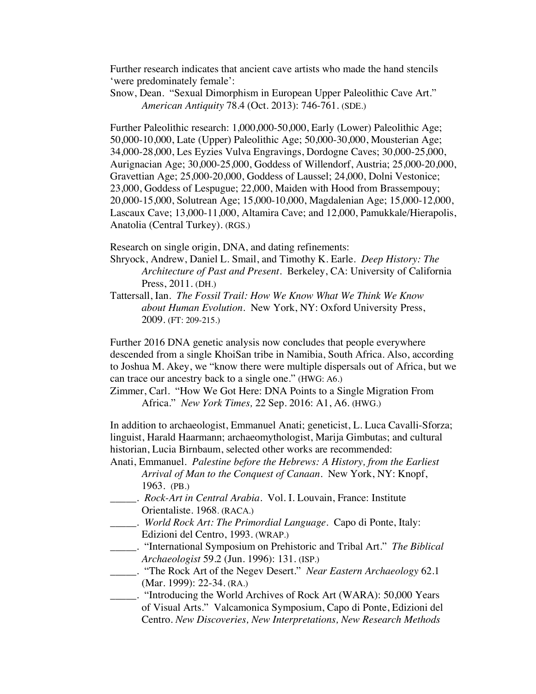Further research indicates that ancient cave artists who made the hand stencils 'were predominately female':

Snow, Dean. "Sexual Dimorphism in European Upper Paleolithic Cave Art." *American Antiquity* 78.4 (Oct. 2013): 746-761. (SDE.)

Further Paleolithic research: 1,000,000-50,000, Early (Lower) Paleolithic Age; 50,000-10,000, Late (Upper) Paleolithic Age; 50,000-30,000, Mousterian Age; 34,000-28,000, Les Eyzies Vulva Engravings, Dordogne Caves; 30,000-25,000, Aurignacian Age; 30,000-25,000, Goddess of Willendorf, Austria; 25,000-20,000, Gravettian Age; 25,000-20,000, Goddess of Laussel; 24,000, Dolni Vestonice; 23,000, Goddess of Lespugue; 22,000, Maiden with Hood from Brassempouy; 20,000-15,000, Solutrean Age; 15,000-10,000, Magdalenian Age; 15,000-12,000, Lascaux Cave; 13,000-11,000, Altamira Cave; and 12,000, Pamukkale/Hierapolis, Anatolia (Central Turkey). (RGS.)

Research on single origin, DNA, and dating refinements:

Shryock, Andrew, Daniel L. Smail, and Timothy K. Earle. *Deep History: The Architecture of Past and Present*. Berkeley, CA: University of California Press, 2011. (DH.)

Tattersall, Ian. *The Fossil Trail: How We Know What We Think We Know about Human Evolution.* New York, NY: Oxford University Press, 2009. (FT: 209-215.)

Further 2016 DNA genetic analysis now concludes that people everywhere descended from a single KhoiSan tribe in Namibia, South Africa. Also, according to Joshua M. Akey, we "know there were multiple dispersals out of Africa, but we can trace our ancestry back to a single one." (HWG: A6.)

Zimmer, Carl. "How We Got Here: DNA Points to a Single Migration From Africa." *New York Times,* 22 Sep. 2016: A1, A6. (HWG.)

In addition to archaeologist, Emmanuel Anati; geneticist, L. Luca Cavalli-Sforza; linguist, Harald Haarmann; archaeomythologist, Marija Gimbutas; and cultural historian, Lucia Birnbaum, selected other works are recommended:

- Anati, Emmanuel. *Palestine before the Hebrews: A History, from the Earliest Arrival of Man to the Conquest of Canaan*. New York, NY: Knopf, 1963. (PB.)
- \_\_\_\_\_. *Rock-Art in Central Arabia*. Vol. I. Louvain, France: Institute Orientaliste. 1968. (RACA.)
- \_\_\_\_\_. *World Rock Art: The Primordial Language*. Capo di Ponte, Italy: Edizioni del Centro, 1993. (WRAP.)
- \_\_\_\_\_. "International Symposium on Prehistoric and Tribal Art." *The Biblical Archaeologist* 59.2 (Jun. 1996): 131. (ISP.)
- \_\_\_\_\_. "The Rock Art of the Negev Desert." *Near Eastern Archaeology* 62.1 (Mar. 1999): 22-34. (RA.)
- \_\_\_\_\_. "Introducing the World Archives of Rock Art (WARA): 50,000 Years of Visual Arts." Valcamonica Symposium, Capo di Ponte, Edizioni del Centro. *New Discoveries, New Interpretations, New Research Methods*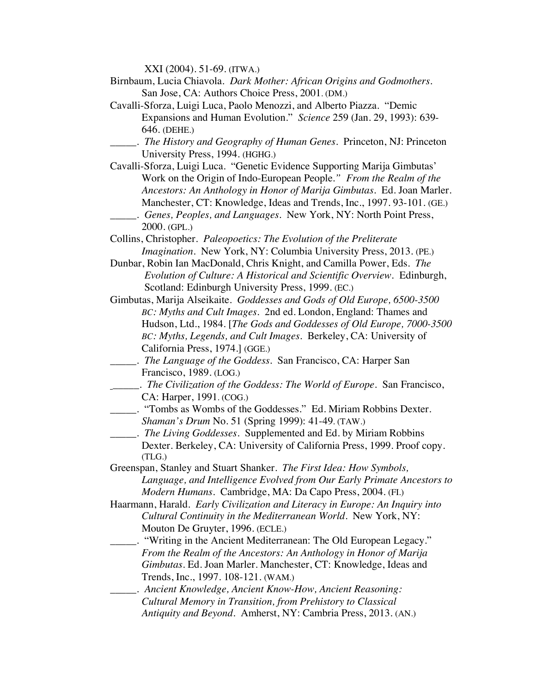XXI (2004). 51-69. (ITWA.)

- Birnbaum, Lucia Chiavola. *Dark Mother: African Origins and Godmothers*. San Jose, CA: Authors Choice Press, 2001. (DM.)
- Cavalli-Sforza, Luigi Luca, Paolo Menozzi, and Alberto Piazza. "Demic Expansions and Human Evolution." *Science* 259 (Jan. 29, 1993): 639- 646. (DEHE.)
- \_\_\_\_\_. *The History and Geography of Human Genes*. Princeton, NJ: Princeton University Press, 1994. (HGHG.)
- Cavalli-Sforza, Luigi Luca. "Genetic Evidence Supporting Marija Gimbutas' Work on the Origin of Indo-European People*." From the Realm of the Ancestors: An Anthology in Honor of Marija Gimbutas*. Ed. Joan Marler. Manchester, CT: Knowledge, Ideas and Trends, Inc., 1997. 93-101. (GE.) \_\_\_\_\_. *Genes, Peoples, and Languages.* New York, NY: North Point Press,

2000. (GPL.)

- Collins, Christopher. *Paleopoetics: The Evolution of the Preliterate Imagination*. New York, NY: Columbia University Press, 2013. (PE.)
- Dunbar, Robin Ian MacDonald, Chris Knight, and Camilla Power, Eds. *The Evolution of Culture: A Historical and Scientific Overview.* Edinburgh, Scotland: Edinburgh University Press, 1999. (EC.)
- Gimbutas, Marija Alseikaite. *Goddesses and Gods of Old Europe, 6500-3500 BC: Myths and Cult Images*. 2nd ed. London, England: Thames and Hudson, Ltd., 1984. [*The Gods and Goddesses of Old Europe, 7000-3500 BC: Myths, Legends, and Cult Images.* Berkeley, CA: University of California Press, 1974.] (GGE.)
- \_\_\_\_\_. *The Language of the Goddess*. San Francisco, CA: Harper San Francisco, 1989. (LOG.)
- \_\_\_\_\_. *The Civilization of the Goddess: The World of Europe*. San Francisco, CA: Harper, 1991. (COG.)
- \_\_\_\_\_. "Tombs as Wombs of the Goddesses." Ed. Miriam Robbins Dexter. *Shaman's Drum* No. 51 (Spring 1999): 41-49. (TAW.)
- \_\_\_\_\_. *The Living Goddesses*. Supplemented and Ed. by Miriam Robbins Dexter. Berkeley, CA: University of California Press, 1999. Proof copy. (TLG.)
- Greenspan, Stanley and Stuart Shanker. *The First Idea: How Symbols, Language, and Intelligence Evolved from Our Early Primate Ancestors to Modern Humans*. Cambridge, MA: Da Capo Press, 2004. (FI.)
- Haarmann, Harald. *Early Civilization and Literacy in Europe: An Inquiry into Cultural Continuity in the Mediterranean World*. New York, NY: Mouton De Gruyter, 1996. (ECLE.)
	- \_\_\_\_\_. "Writing in the Ancient Mediterranean: The Old European Legacy." *From the Realm of the Ancestors: An Anthology in Honor of Marija Gimbutas*. Ed. Joan Marler. Manchester, CT: Knowledge, Ideas and Trends, Inc., 1997. 108-121. (WAM.)
- \_\_\_\_\_. *Ancient Knowledge, Ancient Know-How, Ancient Reasoning: Cultural Memory in Transition, from Prehistory to Classical Antiquity and Beyond*. Amherst, NY: Cambria Press, 2013. (AN.)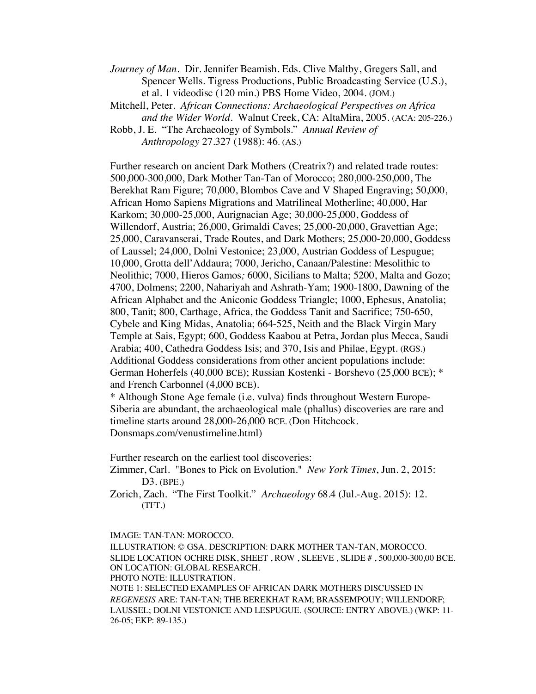*Journey of Man.* Dir. Jennifer Beamish. Eds. Clive Maltby, Gregers Sall, and Spencer Wells. Tigress Productions, Public Broadcasting Service (U.S.), et al. 1 videodisc (120 min.) PBS Home Video, 2004. (JOM.)

Mitchell, Peter. *African Connections: Archaeological Perspectives on Africa and the Wider World*. Walnut Creek, CA: AltaMira, 2005. (ACA: 205-226.)

Robb, J. E. "The Archaeology of Symbols." *Annual Review of Anthropology* 27.327 (1988): 46. (AS.)

Further research on ancient Dark Mothers (Creatrix?) and related trade routes: 500,000-300,000, Dark Mother Tan-Tan of Morocco; 280,000-250,000, The Berekhat Ram Figure; 70,000, Blombos Cave and V Shaped Engraving; 50,000, African Homo Sapiens Migrations and Matrilineal Motherline; 40,000, Har Karkom; 30,000-25,000, Aurignacian Age; 30,000-25,000, Goddess of Willendorf, Austria; 26,000, Grimaldi Caves; 25,000-20,000, Gravettian Age; 25,000, Caravanserai, Trade Routes, and Dark Mothers; 25,000-20,000, Goddess of Laussel; 24,000, Dolni Vestonice; 23,000, Austrian Goddess of Lespugue; 10,000, Grotta dell'Addaura; 7000, Jericho, Canaan/Palestine: Mesolithic to Neolithic; 7000, Hieros Gamos*;* 6000, Sicilians to Malta; 5200, Malta and Gozo; 4700, Dolmens; 2200, Nahariyah and Ashrath-Yam; 1900-1800, Dawning of the African Alphabet and the Aniconic Goddess Triangle; 1000, Ephesus, Anatolia; 800, Tanit; 800, Carthage, Africa, the Goddess Tanit and Sacrifice; 750-650, Cybele and King Midas, Anatolia; 664-525, Neith and the Black Virgin Mary Temple at Sais, Egypt; 600, Goddess Kaabou at Petra, Jordan plus Mecca, Saudi Arabia; 400, Cathedra Goddess Isis; and 370, Isis and Philae, Egypt. (RGS.) Additional Goddess considerations from other ancient populations include: German Hoherfels (40,000 BCE); Russian Kostenki - Borshevo (25,000 BCE); \* and French Carbonnel (4,000 BCE).

\* Although Stone Age female (i.e. vulva) finds throughout Western Europe-Siberia are abundant, the archaeological male (phallus) discoveries are rare and timeline starts around 28,000-26,000 BCE. (Don Hitchcock. Donsmaps.com/venustimeline.html)

Further research on the earliest tool discoveries:

Zimmer, Carl. "Bones to Pick on Evolution." *New York Times*, Jun. 2, 2015: D3. (BPE.)

Zorich, Zach. "The First Toolkit." *Archaeology* 68.4 (Jul.-Aug. 2015): 12. (TFT.)

IMAGE: TAN-TAN: MOROCCO.

ILLUSTRATION: © GSA. DESCRIPTION: DARK MOTHER TAN-TAN, MOROCCO. SLIDE LOCATION OCHRE DISK, SHEET , ROW , SLEEVE , SLIDE # , 500,000-300,00 BCE. ON LOCATION: GLOBAL RESEARCH. PHOTO NOTE: ILLUSTRATION. NOTE 1: SELECTED EXAMPLES OF AFRICAN DARK MOTHERS DISCUSSED IN

*REGENESIS* ARE: TAN-TAN; THE BEREKHAT RAM; BRASSEMPOUY; WILLENDORF; LAUSSEL; DOLNI VESTONICE AND LESPUGUE. (SOURCE: ENTRY ABOVE.) (WKP: 11- 26-05; EKP: 89-135.)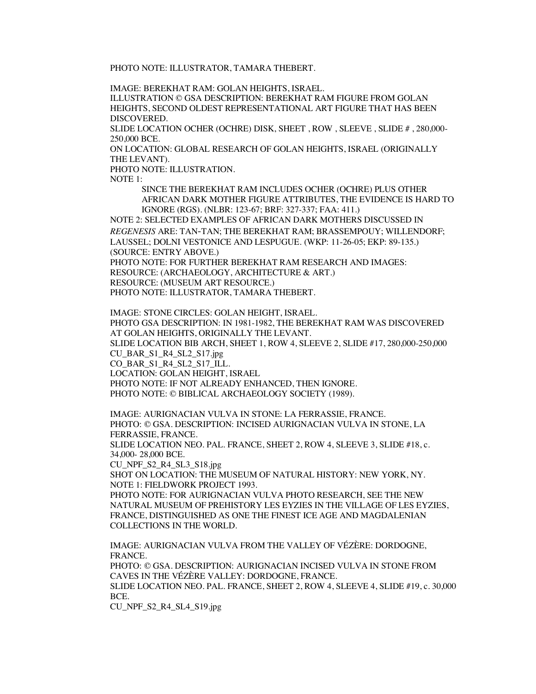PHOTO NOTE: ILLUSTRATOR, TAMARA THEBERT.

IMAGE: BEREKHAT RAM: GOLAN HEIGHTS, ISRAEL.

ILLUSTRATION © GSA DESCRIPTION: BEREKHAT RAM FIGURE FROM GOLAN HEIGHTS, SECOND OLDEST REPRESENTATIONAL ART FIGURE THAT HAS BEEN DISCOVERED.

SLIDE LOCATION OCHER (OCHRE) DISK, SHEET , ROW , SLEEVE , SLIDE # , 280,000- 250,000 BCE.

ON LOCATION: GLOBAL RESEARCH OF GOLAN HEIGHTS, ISRAEL (ORIGINALLY THE LEVANT).

PHOTO NOTE: ILLUSTRATION.

NOTE 1:

SINCE THE BEREKHAT RAM INCLUDES OCHER (OCHRE) PLUS OTHER AFRICAN DARK MOTHER FIGURE ATTRIBUTES, THE EVIDENCE IS HARD TO IGNORE (RGS). (NLBR: 123-67; BRF: 327-337; FAA: 411.)

NOTE 2: SELECTED EXAMPLES OF AFRICAN DARK MOTHERS DISCUSSED IN *REGENESIS* ARE: TAN-TAN; THE BEREKHAT RAM; BRASSEMPOUY; WILLENDORF; LAUSSEL; DOLNI VESTONICE AND LESPUGUE. (WKP: 11-26-05; EKP: 89-135.) (SOURCE: ENTRY ABOVE.)

PHOTO NOTE: FOR FURTHER BEREKHAT RAM RESEARCH AND IMAGES: RESOURCE: (ARCHAEOLOGY, ARCHITECTURE & ART.) RESOURCE: (MUSEUM ART RESOURCE.) PHOTO NOTE: ILLUSTRATOR, TAMARA THEBERT.

IMAGE: STONE CIRCLES: GOLAN HEIGHT, ISRAEL.

PHOTO GSA DESCRIPTION: IN 1981-1982, THE BEREKHAT RAM WAS DISCOVERED AT GOLAN HEIGHTS, ORIGINALLY THE LEVANT.

SLIDE LOCATION BIB ARCH, SHEET 1, ROW 4, SLEEVE 2, SLIDE #17, 280,000-250,000 CU\_BAR\_S1\_R4\_SL2\_S17.jpg

CO\_BAR\_S1\_R4\_SL2\_S17\_ILL.

LOCATION: GOLAN HEIGHT, ISRAEL

PHOTO NOTE: IF NOT ALREADY ENHANCED, THEN IGNORE.

PHOTO NOTE: © BIBLICAL ARCHAEOLOGY SOCIETY (1989).

IMAGE: AURIGNACIAN VULVA IN STONE: LA FERRASSIE, FRANCE. PHOTO: © GSA. DESCRIPTION: INCISED AURIGNACIAN VULVA IN STONE, LA FERRASSIE, FRANCE.

SLIDE LOCATION NEO. PAL. FRANCE, SHEET 2, ROW 4, SLEEVE 3, SLIDE #18, c. 34,000- 28,000 BCE.

CU\_NPF\_S2\_R4\_SL3\_S18.jpg

SHOT ON LOCATION: THE MUSEUM OF NATURAL HISTORY: NEW YORK, NY. NOTE 1: FIELDWORK PROJECT 1993.

PHOTO NOTE: FOR AURIGNACIAN VULVA PHOTO RESEARCH, SEE THE NEW NATURAL MUSEUM OF PREHISTORY LES EYZIES IN THE VILLAGE OF LES EYZIES, FRANCE, DISTINGUISHED AS ONE THE FINEST ICE AGE AND MAGDALENIAN COLLECTIONS IN THE WORLD.

IMAGE: AURIGNACIAN VULVA FROM THE VALLEY OF VÉZÈRE: DORDOGNE, FRANCE. PHOTO: © GSA. DESCRIPTION: AURIGNACIAN INCISED VULVA IN STONE FROM CAVES IN THE VÉZÈRE VALLEY: DORDOGNE, FRANCE. SLIDE LOCATION NEO. PAL. FRANCE, SHEET 2, ROW 4, SLEEVE 4, SLIDE #19, c. 30,000 BCE.

CU\_NPF\_S2\_R4\_SL4\_S19.jpg